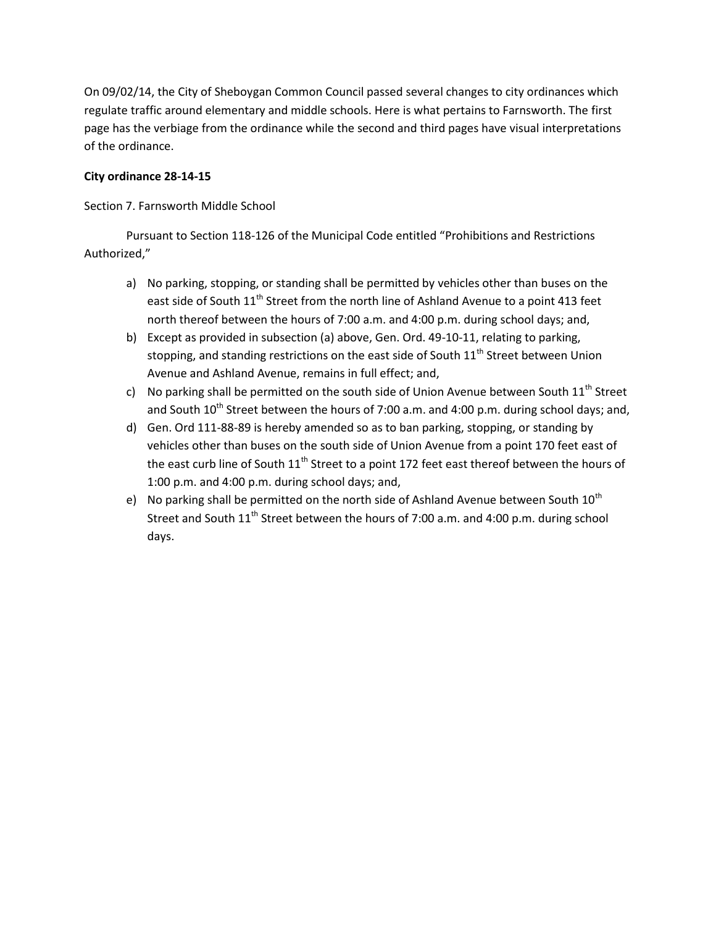On 09/02/14, the City of Sheboygan Common Council passed several changes to city ordinances which regulate traffic around elementary and middle schools. Here is what pertains to Farnsworth. The first page has the verbiage from the ordinance while the second and third pages have visual interpretations of the ordinance.

## **City ordinance 28-14-15**

Section 7. Farnsworth Middle School

Pursuant to Section 118-126 of the Municipal Code entitled "Prohibitions and Restrictions Authorized,"

- a) No parking, stopping, or standing shall be permitted by vehicles other than buses on the east side of South  $11<sup>th</sup>$  Street from the north line of Ashland Avenue to a point 413 feet north thereof between the hours of 7:00 a.m. and 4:00 p.m. during school days; and,
- b) Except as provided in subsection (a) above, Gen. Ord. 49-10-11, relating to parking, stopping, and standing restrictions on the east side of South 11<sup>th</sup> Street between Union Avenue and Ashland Avenue, remains in full effect; and,
- c) No parking shall be permitted on the south side of Union Avenue between South  $11^{th}$  Street and South  $10^{th}$  Street between the hours of 7:00 a.m. and 4:00 p.m. during school days; and,
- d) Gen. Ord 111-88-89 is hereby amended so as to ban parking, stopping, or standing by vehicles other than buses on the south side of Union Avenue from a point 170 feet east of the east curb line of South  $11<sup>th</sup>$  Street to a point 172 feet east thereof between the hours of 1:00 p.m. and 4:00 p.m. during school days; and,
- e) No parking shall be permitted on the north side of Ashland Avenue between South  $10^{th}$ Street and South  $11<sup>th</sup>$  Street between the hours of 7:00 a.m. and 4:00 p.m. during school days.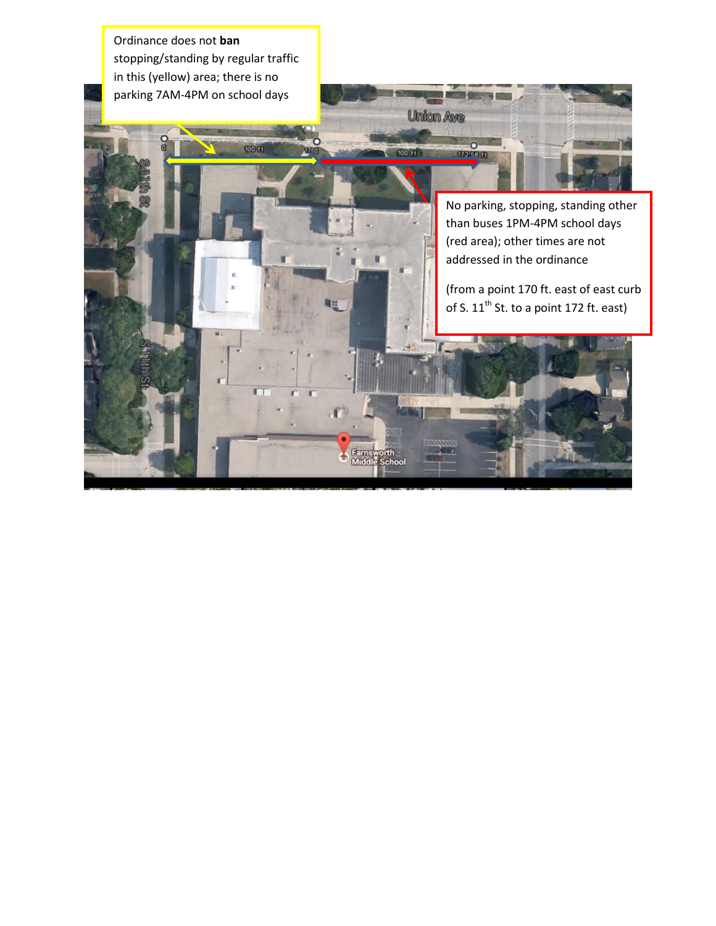